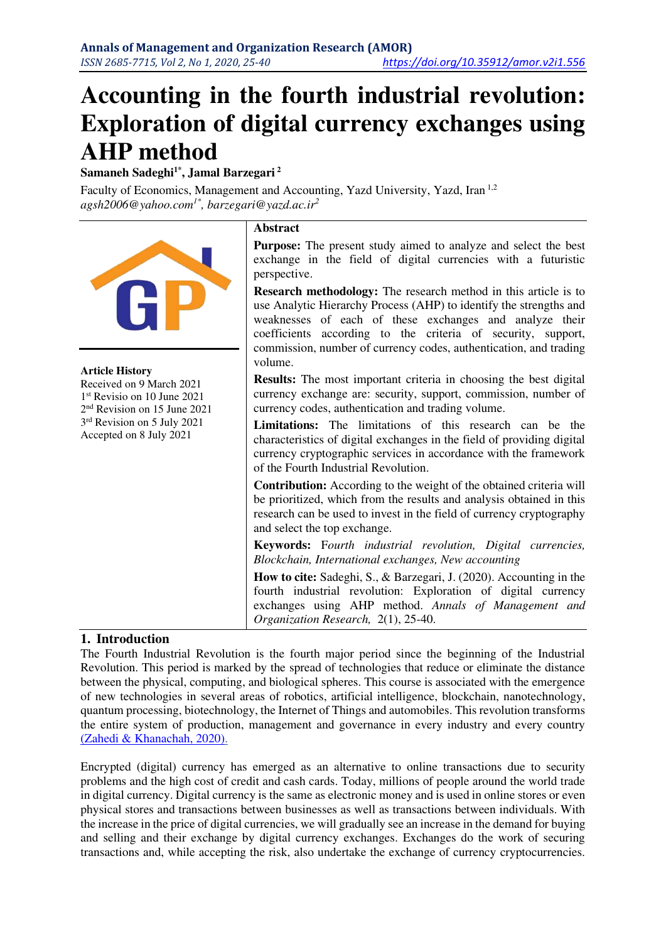# **Accounting in the fourth industrial revolution: Exploration of digital currency exchanges using AHP method**

**Samaneh Sadeghi1\*, Jamal Barzegari<sup>2</sup>**

Faculty of Economics, Management and Accounting, Yazd University, Yazd, Iran 1,2 *agsh2006@yahoo.com1\*, barzegari@yazd.ac.ir<sup>2</sup>*



#### **Article History**

Received on 9 March 2021 1 st Revisio on 10 June 2021 2 nd Revision on 15 June 2021 3 rd Revision on 5 July 2021 Accepted on 8 July 2021

# **Abstract**

**Purpose:** The present study aimed to analyze and select the best exchange in the field of digital currencies with a futuristic perspective.

**Research methodology:** The research method in this article is to use Analytic Hierarchy Process (AHP) to identify the strengths and weaknesses of each of these exchanges and analyze their coefficients according to the criteria of security, support, commission, number of currency codes, authentication, and trading volume.

**Results:** The most important criteria in choosing the best digital currency exchange are: security, support, commission, number of currency codes, authentication and trading volume.

**Limitations:** The limitations of this research can be the characteristics of digital exchanges in the field of providing digital currency cryptographic services in accordance with the framework of the Fourth Industrial Revolution.

**Contribution:** According to the weight of the obtained criteria will be prioritized, which from the results and analysis obtained in this research can be used to invest in the field of currency cryptography and select the top exchange.

**Keywords:** F*ourth industrial revolution, Digital currencies, Blockchain, International exchanges, New accounting* 

**How to cite:** Sadeghi, S., & Barzegari, J. (2020). Accounting in the fourth industrial revolution: Exploration of digital currency exchanges using AHP method. *Annals of Management and Organization Research,* 2(1), 25-40.

# **1. Introduction**

The Fourth Industrial Revolution is the fourth major period since the beginning of the Industrial Revolution. This period is marked by the spread of technologies that reduce or eliminate the distance between the physical, computing, and biological spheres. This course is associated with the emergence of new technologies in several areas of robotics, artificial intelligence, blockchain, nanotechnology, quantum processing, biotechnology, the Internet of Things and automobiles. This revolution transforms the entire system of production, management and governance in every industry and every country [\(Zahedi & Khanachah, 2020\).](#page-15-0)

Encrypted (digital) currency has emerged as an alternative to online transactions due to security problems and the high cost of credit and cash cards. Today, millions of people around the world trade in digital currency. Digital currency is the same as electronic money and is used in online stores or even physical stores and transactions between businesses as well as transactions between individuals. With the increase in the price of digital currencies, we will gradually see an increase in the demand for buying and selling and their exchange by digital currency exchanges. Exchanges do the work of securing transactions and, while accepting the risk, also undertake the exchange of currency cryptocurrencies.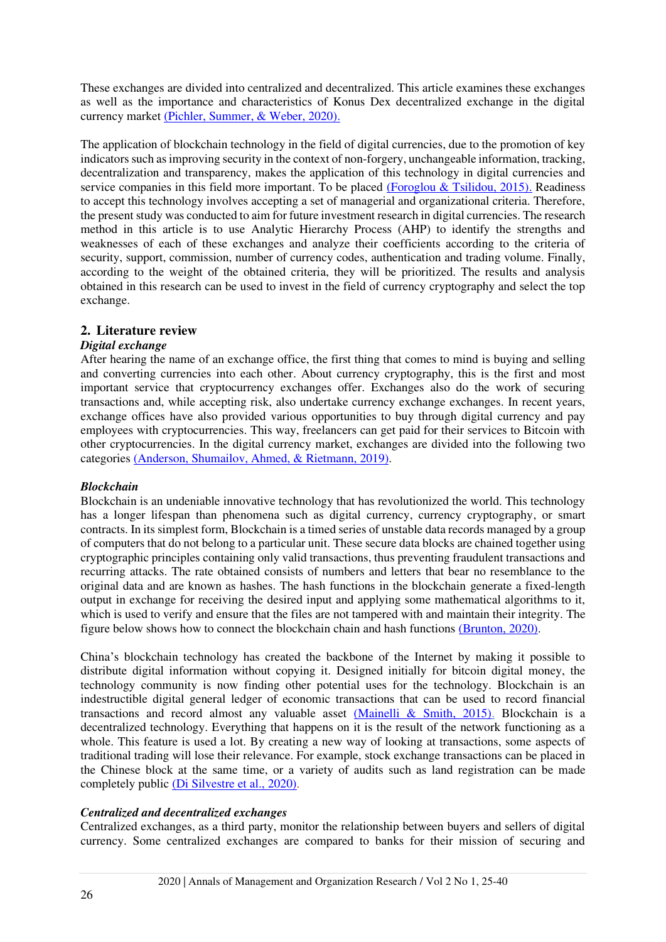These exchanges are divided into centralized and decentralized. This article examines these exchanges as well as the importance and characteristics of Konus Dex decentralized exchange in the digital currency market [\(Pichler, Summer, & Weber, 2020\).](#page-15-1) 

The application of blockchain technology in the field of digital currencies, due to the promotion of key indicators such as improving security in the context of non-forgery, unchangeable information, tracking, decentralization and transparency, makes the application of this technology in digital currencies and service companies in this field more important. To be placed [\(Foroglou & Tsilidou, 2015\).](#page-14-0) Readiness to accept this technology involves accepting a set of managerial and organizational criteria. Therefore, the present study was conducted to aim for future investment research in digital currencies. The research method in this article is to use Analytic Hierarchy Process (AHP) to identify the strengths and weaknesses of each of these exchanges and analyze their coefficients according to the criteria of security, support, commission, number of currency codes, authentication and trading volume. Finally, according to the weight of the obtained criteria, they will be prioritized. The results and analysis obtained in this research can be used to invest in the field of currency cryptography and select the top exchange.

# **2. Literature review**

## *Digital exchange*

After hearing the name of an exchange office, the first thing that comes to mind is buying and selling and converting currencies into each other. About currency cryptography, this is the first and most important service that cryptocurrency exchanges offer. Exchanges also do the work of securing transactions and, while accepting risk, also undertake currency exchange exchanges. In recent years, exchange offices have also provided various opportunities to buy through digital currency and pay employees with cryptocurrencies. This way, freelancers can get paid for their services to Bitcoin with other cryptocurrencies. In the digital currency market, exchanges are divided into the following two categories [\(Anderson, Shumailov, Ahmed, & Rietmann, 2019\).](#page-14-1)

## *Blockchain*

Blockchain is an undeniable innovative technology that has revolutionized the world. This technology has a longer lifespan than phenomena such as digital currency, currency cryptography, or smart contracts. In its simplest form, Blockchain is a timed series of unstable data records managed by a group of computers that do not belong to a particular unit. These secure data blocks are chained together using cryptographic principles containing only valid transactions, thus preventing fraudulent transactions and recurring attacks. The rate obtained consists of numbers and letters that bear no resemblance to the original data and are known as hashes. The hash functions in the blockchain generate a fixed-length output in exchange for receiving the desired input and applying some mathematical algorithms to it, which is used to verify and ensure that the files are not tampered with and maintain their integrity. The figure below shows how to connect the blockchain chain and hash functions [\(Brunton, 2020\).](#page-14-2)

China's blockchain technology has created the backbone of the Internet by making it possible to distribute digital information without copying it. Designed initially for bitcoin digital money, the technology community is now finding other potential uses for the technology. Blockchain is an indestructible digital general ledger of economic transactions that can be used to record financial transactions and record almost any valuable asset [\(Mainelli & Smith, 2015\).](#page-15-2) Blockchain is a decentralized technology. Everything that happens on it is the result of the network functioning as a whole. This feature is used a lot. By creating a new way of looking at transactions, some aspects of traditional trading will lose their relevance. For example, stock exchange transactions can be placed in the Chinese block at the same time, or a variety of audits such as land registration can be made completely public [\(Di Silvestre et al., 2020\).](#page-14-3)

## *Centralized and decentralized exchanges*

Centralized exchanges, as a third party, monitor the relationship between buyers and sellers of digital currency. Some centralized exchanges are compared to banks for their mission of securing and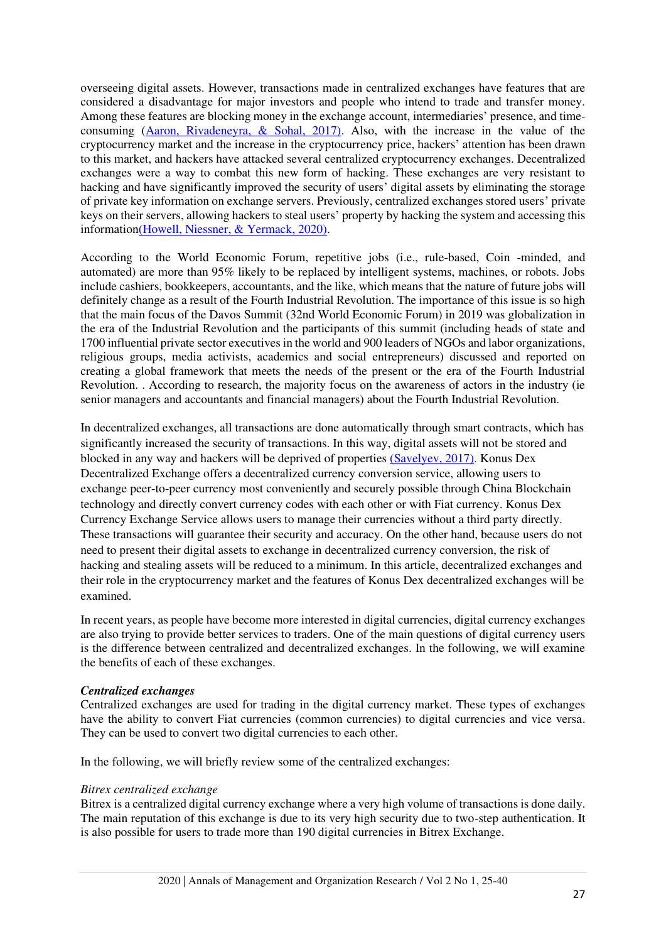overseeing digital assets. However, transactions made in centralized exchanges have features that are considered a disadvantage for major investors and people who intend to trade and transfer money. Among these features are blocking money in the exchange account, intermediaries' presence, and timeconsuming [\(Aaron, Rivadeneyra, & Sohal, 2017\).](#page-14-4) Also, with the increase in the value of the cryptocurrency market and the increase in the cryptocurrency price, hackers' attention has been drawn to this market, and hackers have attacked several centralized cryptocurrency exchanges. Decentralized exchanges were a way to combat this new form of hacking. These exchanges are very resistant to hacking and have significantly improved the security of users' digital assets by eliminating the storage of private key information on exchange servers. Previously, centralized exchanges stored users' private keys on their servers, allowing hackers to steal users' property by hacking the system and accessing this informatio[n\(Howell, Niessner, & Yermack, 2020\).](#page-14-5)

According to the World Economic Forum, repetitive jobs (i.e., rule-based, Coin -minded, and automated) are more than 95% likely to be replaced by intelligent systems, machines, or robots. Jobs include cashiers, bookkeepers, accountants, and the like, which means that the nature of future jobs will definitely change as a result of the Fourth Industrial Revolution. The importance of this issue is so high that the main focus of the Davos Summit (32nd World Economic Forum) in 2019 was globalization in the era of the Industrial Revolution and the participants of this summit (including heads of state and 1700 influential private sector executives in the world and 900 leaders of NGOs and labor organizations, religious groups, media activists, academics and social entrepreneurs) discussed and reported on creating a global framework that meets the needs of the present or the era of the Fourth Industrial Revolution. . According to research, the majority focus on the awareness of actors in the industry (ie senior managers and accountants and financial managers) about the Fourth Industrial Revolution.

In decentralized exchanges, all transactions are done automatically through smart contracts, which has significantly increased the security of transactions. In this way, digital assets will not be stored and blocked in any way and hackers will be deprived of properties [\(Savelyev, 2017\).](#page-15-3) Konus Dex Decentralized Exchange offers a decentralized currency conversion service, allowing users to exchange peer-to-peer currency most conveniently and securely possible through China Blockchain technology and directly convert currency codes with each other or with Fiat currency. Konus Dex Currency Exchange Service allows users to manage their currencies without a third party directly. These transactions will guarantee their security and accuracy. On the other hand, because users do not need to present their digital assets to exchange in decentralized currency conversion, the risk of hacking and stealing assets will be reduced to a minimum. In this article, decentralized exchanges and their role in the cryptocurrency market and the features of Konus Dex decentralized exchanges will be examined.

In recent years, as people have become more interested in digital currencies, digital currency exchanges are also trying to provide better services to traders. One of the main questions of digital currency users is the difference between centralized and decentralized exchanges. In the following, we will examine the benefits of each of these exchanges.

#### *Centralized exchanges*

Centralized exchanges are used for trading in the digital currency market. These types of exchanges have the ability to convert Fiat currencies (common currencies) to digital currencies and vice versa. They can be used to convert two digital currencies to each other.

In the following, we will briefly review some of the centralized exchanges:

#### *Bitrex centralized exchange*

Bitrex is a centralized digital currency exchange where a very high volume of transactions is done daily. The main reputation of this exchange is due to its very high security due to two-step authentication. It is also possible for users to trade more than 190 digital currencies in Bitrex Exchange.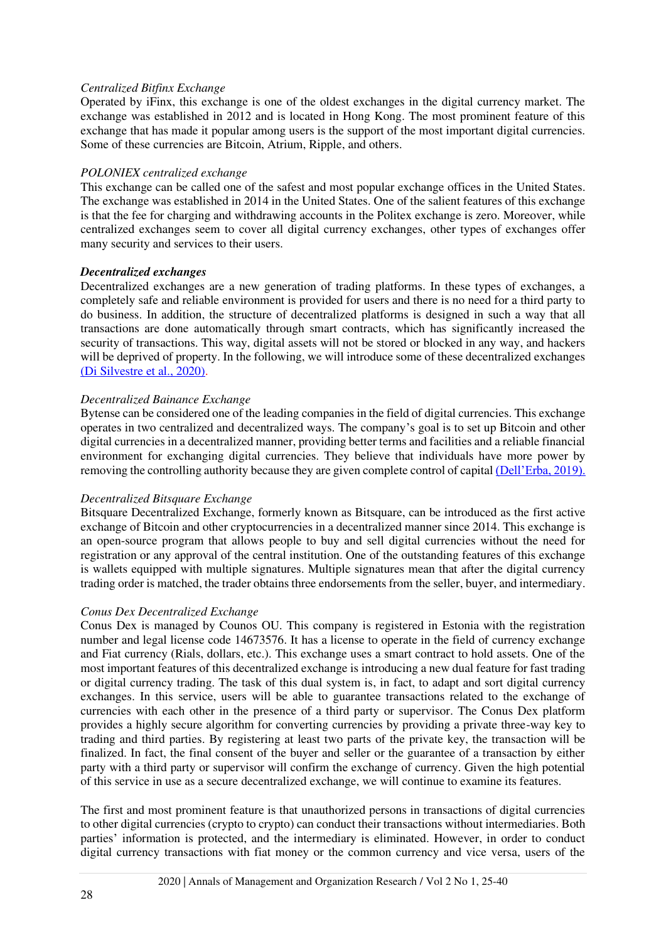## *Centralized Bitfinx Exchange*

Operated by iFinx, this exchange is one of the oldest exchanges in the digital currency market. The exchange was established in 2012 and is located in Hong Kong. The most prominent feature of this exchange that has made it popular among users is the support of the most important digital currencies. Some of these currencies are Bitcoin, Atrium, Ripple, and others.

## *POLONIEX centralized exchange*

This exchange can be called one of the safest and most popular exchange offices in the United States. The exchange was established in 2014 in the United States. One of the salient features of this exchange is that the fee for charging and withdrawing accounts in the Politex exchange is zero. Moreover, while centralized exchanges seem to cover all digital currency exchanges, other types of exchanges offer many security and services to their users.

## *Decentralized exchanges*

Decentralized exchanges are a new generation of trading platforms. In these types of exchanges, a completely safe and reliable environment is provided for users and there is no need for a third party to do business. In addition, the structure of decentralized platforms is designed in such a way that all transactions are done automatically through smart contracts, which has significantly increased the security of transactions. This way, digital assets will not be stored or blocked in any way, and hackers will be deprived of property. In the following, we will introduce some of these decentralized exchanges [\(Di Silvestre et al., 2020\).](#page-14-3)

## *Decentralized Bainance Exchange*

Bytense can be considered one of the leading companies in the field of digital currencies. This exchange operates in two centralized and decentralized ways. The company's goal is to set up Bitcoin and other digital currencies in a decentralized manner, providing better terms and facilities and a reliable financial environment for exchanging digital currencies. They believe that individuals have more power by removing the controlling authority because they are given complete control of capital [\(Dell'Erba, 2019\).](#page-14-6)

#### *Decentralized Bitsquare Exchange*

Bitsquare Decentralized Exchange, formerly known as Bitsquare, can be introduced as the first active exchange of Bitcoin and other cryptocurrencies in a decentralized manner since 2014. This exchange is an open-source program that allows people to buy and sell digital currencies without the need for registration or any approval of the central institution. One of the outstanding features of this exchange is wallets equipped with multiple signatures. Multiple signatures mean that after the digital currency trading order is matched, the trader obtains three endorsements from the seller, buyer, and intermediary.

## *Conus Dex Decentralized Exchange*

Conus Dex is managed by Counos OU. This company is registered in Estonia with the registration number and legal license code 14673576. It has a license to operate in the field of currency exchange and Fiat currency (Rials, dollars, etc.). This exchange uses a smart contract to hold assets. One of the most important features of this decentralized exchange is introducing a new dual feature for fast trading or digital currency trading. The task of this dual system is, in fact, to adapt and sort digital currency exchanges. In this service, users will be able to guarantee transactions related to the exchange of currencies with each other in the presence of a third party or supervisor. The Conus Dex platform provides a highly secure algorithm for converting currencies by providing a private three-way key to trading and third parties. By registering at least two parts of the private key, the transaction will be finalized. In fact, the final consent of the buyer and seller or the guarantee of a transaction by either party with a third party or supervisor will confirm the exchange of currency. Given the high potential of this service in use as a secure decentralized exchange, we will continue to examine its features.

The first and most prominent feature is that unauthorized persons in transactions of digital currencies to other digital currencies (crypto to crypto) can conduct their transactions without intermediaries. Both parties' information is protected, and the intermediary is eliminated. However, in order to conduct digital currency transactions with fiat money or the common currency and vice versa, users of the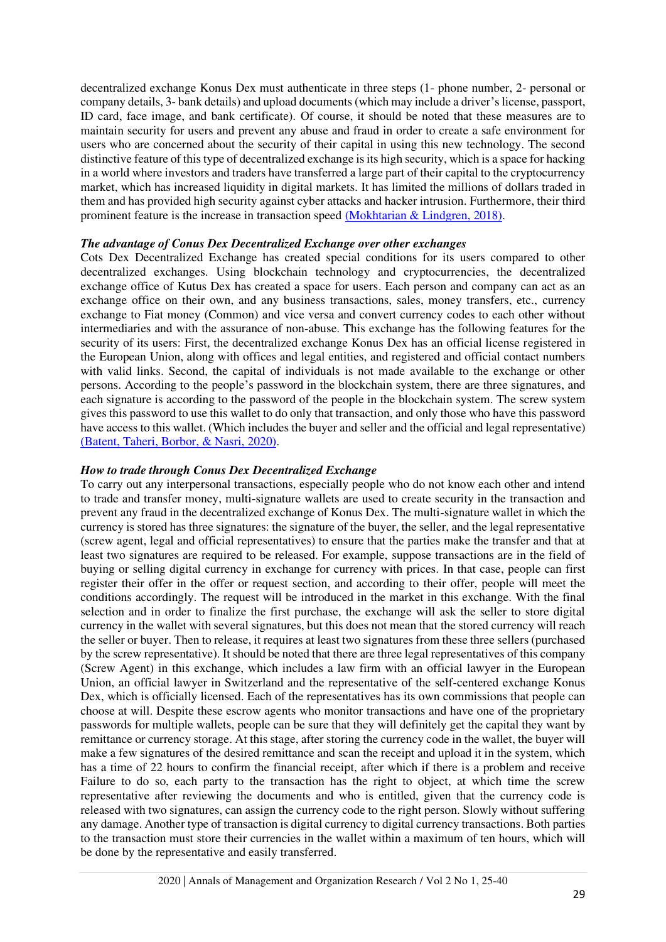decentralized exchange Konus Dex must authenticate in three steps (1- phone number, 2- personal or company details, 3- bank details) and upload documents (which may include a driver's license, passport, ID card, face image, and bank certificate). Of course, it should be noted that these measures are to maintain security for users and prevent any abuse and fraud in order to create a safe environment for users who are concerned about the security of their capital in using this new technology. The second distinctive feature of this type of decentralized exchange is its high security, which is a space for hacking in a world where investors and traders have transferred a large part of their capital to the cryptocurrency market, which has increased liquidity in digital markets. It has limited the millions of dollars traded in them and has provided high security against cyber attacks and hacker intrusion. Furthermore, their third prominent feature is the increase in transaction speed [\(Mokhtarian & Lindgren, 2018\).](#page-15-4)

## *The advantage of Conus Dex Decentralized Exchange over other exchanges*

Cots Dex Decentralized Exchange has created special conditions for its users compared to other decentralized exchanges. Using blockchain technology and cryptocurrencies, the decentralized exchange office of Kutus Dex has created a space for users. Each person and company can act as an exchange office on their own, and any business transactions, sales, money transfers, etc., currency exchange to Fiat money (Common) and vice versa and convert currency codes to each other without intermediaries and with the assurance of non-abuse. This exchange has the following features for the security of its users: First, the decentralized exchange Konus Dex has an official license registered in the European Union, along with offices and legal entities, and registered and official contact numbers with valid links. Second, the capital of individuals is not made available to the exchange or other persons. According to the people's password in the blockchain system, there are three signatures, and each signature is according to the password of the people in the blockchain system. The screw system gives this password to use this wallet to do only that transaction, and only those who have this password have access to this wallet. (Which includes the buyer and seller and the official and legal representative) [\(Batent, Taheri, Borbor, & Nasri, 2020\).](#page-14-7)

#### *How to trade through Conus Dex Decentralized Exchange*

To carry out any interpersonal transactions, especially people who do not know each other and intend to trade and transfer money, multi-signature wallets are used to create security in the transaction and prevent any fraud in the decentralized exchange of Konus Dex. The multi-signature wallet in which the currency is stored has three signatures: the signature of the buyer, the seller, and the legal representative (screw agent, legal and official representatives) to ensure that the parties make the transfer and that at least two signatures are required to be released. For example, suppose transactions are in the field of buying or selling digital currency in exchange for currency with prices. In that case, people can first register their offer in the offer or request section, and according to their offer, people will meet the conditions accordingly. The request will be introduced in the market in this exchange. With the final selection and in order to finalize the first purchase, the exchange will ask the seller to store digital currency in the wallet with several signatures, but this does not mean that the stored currency will reach the seller or buyer. Then to release, it requires at least two signatures from these three sellers (purchased by the screw representative). It should be noted that there are three legal representatives of this company (Screw Agent) in this exchange, which includes a law firm with an official lawyer in the European Union, an official lawyer in Switzerland and the representative of the self-centered exchange Konus Dex, which is officially licensed. Each of the representatives has its own commissions that people can choose at will. Despite these escrow agents who monitor transactions and have one of the proprietary passwords for multiple wallets, people can be sure that they will definitely get the capital they want by remittance or currency storage. At this stage, after storing the currency code in the wallet, the buyer will make a few signatures of the desired remittance and scan the receipt and upload it in the system, which has a time of 22 hours to confirm the financial receipt, after which if there is a problem and receive Failure to do so, each party to the transaction has the right to object, at which time the screw representative after reviewing the documents and who is entitled, given that the currency code is released with two signatures, can assign the currency code to the right person. Slowly without suffering any damage. Another type of transaction is digital currency to digital currency transactions. Both parties to the transaction must store their currencies in the wallet within a maximum of ten hours, which will be done by the representative and easily transferred.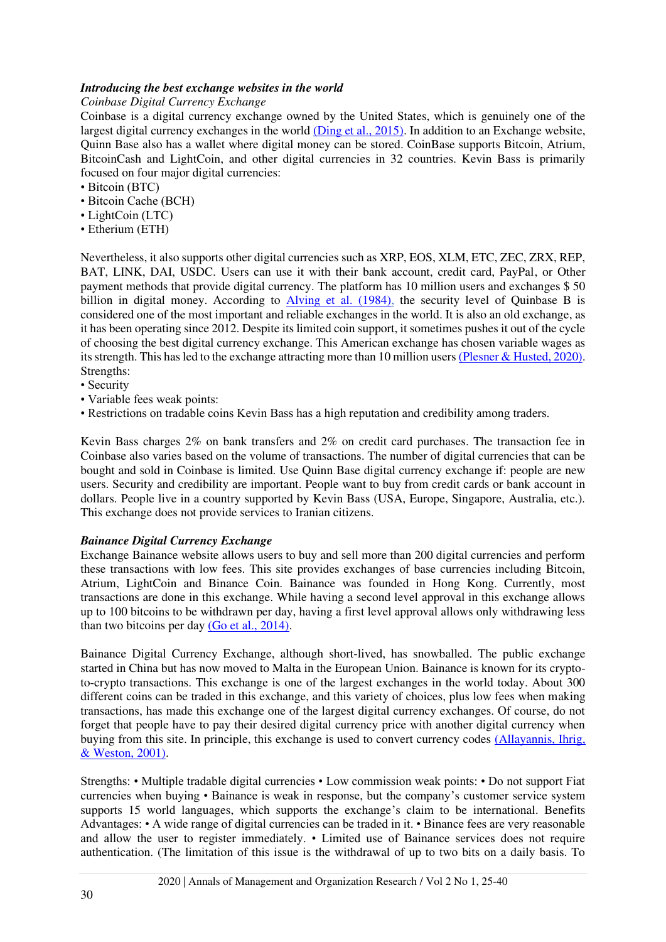## *Introducing the best exchange websites in the world*

*Coinbase Digital Currency Exchange* 

Coinbase is a digital currency exchange owned by the United States, which is genuinely one of the largest digital currency exchanges in the world [\(Ding et al., 2015\).](#page-14-8) In addition to an Exchange website, Quinn Base also has a wallet where digital money can be stored. CoinBase supports Bitcoin, Atrium, BitcoinCash and LightCoin, and other digital currencies in 32 countries. Kevin Bass is primarily focused on four major digital currencies:

- Bitcoin (BTC)
- Bitcoin Cache (BCH)
- LightCoin (LTC)
- Etherium (ETH)

Nevertheless, it also supports other digital currencies such as XRP, EOS, XLM, ETC, ZEC, ZRX, REP, BAT, LINK, DAI, USDC. Users can use it with their bank account, credit card, PayPal, or Other payment methods that provide digital currency. The platform has 10 million users and exchanges \$ 50 billion in digital money. According to [Alving et al. \(1984\),](#page-14-9) the security level of Quinbase B is considered one of the most important and reliable exchanges in the world. It is also an old exchange, as it has been operating since 2012. Despite its limited coin support, it sometimes pushes it out of the cycle of choosing the best digital currency exchange. This American exchange has chosen variable wages as its strength. This has led to the exchange attracting more than 10 million users [\(Plesner & Husted, 2020\).](#page-15-5) Strengths:

- Security
- Variable fees weak points:
- Restrictions on tradable coins Kevin Bass has a high reputation and credibility among traders.

Kevin Bass charges 2% on bank transfers and 2% on credit card purchases. The transaction fee in Coinbase also varies based on the volume of transactions. The number of digital currencies that can be bought and sold in Coinbase is limited. Use Quinn Base digital currency exchange if: people are new users. Security and credibility are important. People want to buy from credit cards or bank account in dollars. People live in a country supported by Kevin Bass (USA, Europe, Singapore, Australia, etc.). This exchange does not provide services to Iranian citizens.

#### *Bainance Digital Currency Exchange*

Exchange Bainance website allows users to buy and sell more than 200 digital currencies and perform these transactions with low fees. This site provides exchanges of base currencies including Bitcoin, Atrium, LightCoin and Binance Coin. Bainance was founded in Hong Kong. Currently, most transactions are done in this exchange. While having a second level approval in this exchange allows up to 100 bitcoins to be withdrawn per day, having a first level approval allows only withdrawing less than two bitcoins per day  $(Go et al., 2014)$ .

Bainance Digital Currency Exchange, although short-lived, has snowballed. The public exchange started in China but has now moved to Malta in the European Union. Bainance is known for its cryptoto-crypto transactions. This exchange is one of the largest exchanges in the world today. About 300 different coins can be traded in this exchange, and this variety of choices, plus low fees when making transactions, has made this exchange one of the largest digital currency exchanges. Of course, do not forget that people have to pay their desired digital currency price with another digital currency when buying from this site. In principle, this exchange is used to convert currency codes [\(Allayannis, Ihrig,](#page-14-11)  & Weston, 2001).

Strengths: • Multiple tradable digital currencies • Low commission weak points: • Do not support Fiat currencies when buying • Bainance is weak in response, but the company's customer service system supports 15 world languages, which supports the exchange's claim to be international. Benefits Advantages: • A wide range of digital currencies can be traded in it. • Binance fees are very reasonable and allow the user to register immediately. • Limited use of Bainance services does not require authentication. (The limitation of this issue is the withdrawal of up to two bits on a daily basis. To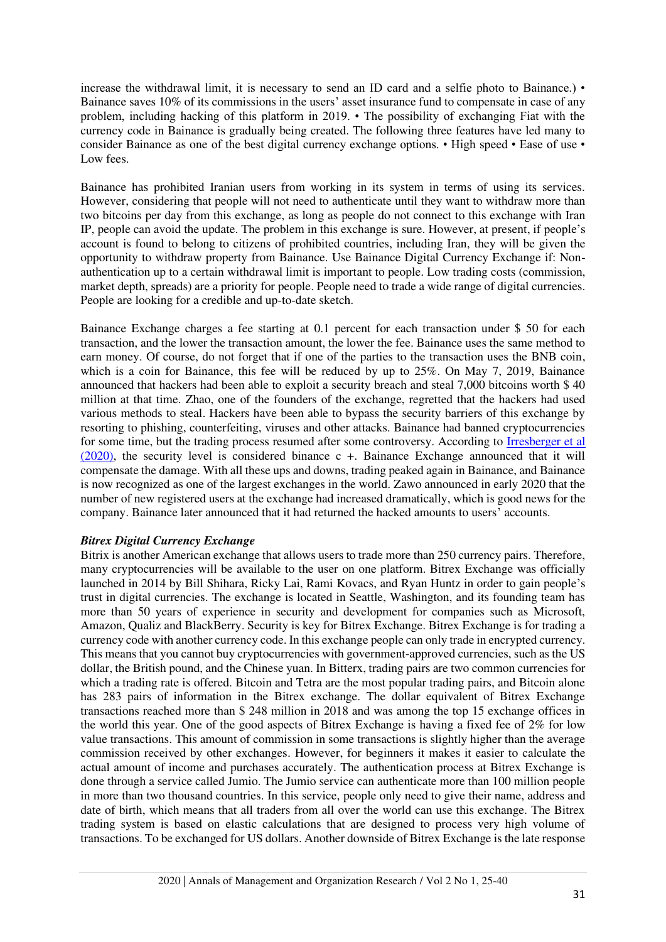increase the withdrawal limit, it is necessary to send an ID card and a selfie photo to Bainance.) • Bainance saves 10% of its commissions in the users' asset insurance fund to compensate in case of any problem, including hacking of this platform in 2019. • The possibility of exchanging Fiat with the currency code in Bainance is gradually being created. The following three features have led many to consider Bainance as one of the best digital currency exchange options. • High speed • Ease of use • Low fees.

Bainance has prohibited Iranian users from working in its system in terms of using its services. However, considering that people will not need to authenticate until they want to withdraw more than two bitcoins per day from this exchange, as long as people do not connect to this exchange with Iran IP, people can avoid the update. The problem in this exchange is sure. However, at present, if people's account is found to belong to citizens of prohibited countries, including Iran, they will be given the opportunity to withdraw property from Bainance. Use Bainance Digital Currency Exchange if: Nonauthentication up to a certain withdrawal limit is important to people. Low trading costs (commission, market depth, spreads) are a priority for people. People need to trade a wide range of digital currencies. People are looking for a credible and up-to-date sketch.

Bainance Exchange charges a fee starting at 0.1 percent for each transaction under \$ 50 for each transaction, and the lower the transaction amount, the lower the fee. Bainance uses the same method to earn money. Of course, do not forget that if one of the parties to the transaction uses the BNB coin, which is a coin for Bainance, this fee will be reduced by up to 25%. On May 7, 2019, Bainance announced that hackers had been able to exploit a security breach and steal 7,000 bitcoins worth \$ 40 million at that time. Zhao, one of the founders of the exchange, regretted that the hackers had used various methods to steal. Hackers have been able to bypass the security barriers of this exchange by resorting to phishing, counterfeiting, viruses and other attacks. Bainance had banned cryptocurrencies for some time, but the trading process resumed after some controversy. According to [Irresberger et al](#page-14-12)  [\(2020\),](#page-14-12) the security level is considered binance c +. Bainance Exchange announced that it will compensate the damage. With all these ups and downs, trading peaked again in Bainance, and Bainance is now recognized as one of the largest exchanges in the world. Zawo announced in early 2020 that the number of new registered users at the exchange had increased dramatically, which is good news for the company. Bainance later announced that it had returned the hacked amounts to users' accounts.

#### *Bitrex Digital Currency Exchange*

Bitrix is another American exchange that allows users to trade more than 250 currency pairs. Therefore, many cryptocurrencies will be available to the user on one platform. Bitrex Exchange was officially launched in 2014 by Bill Shihara, Ricky Lai, Rami Kovacs, and Ryan Huntz in order to gain people's trust in digital currencies. The exchange is located in Seattle, Washington, and its founding team has more than 50 years of experience in security and development for companies such as Microsoft, Amazon, Qualiz and BlackBerry. Security is key for Bitrex Exchange. Bitrex Exchange is for trading a currency code with another currency code. In this exchange people can only trade in encrypted currency. This means that you cannot buy cryptocurrencies with government-approved currencies, such as the US dollar, the British pound, and the Chinese yuan. In Bitterx, trading pairs are two common currencies for which a trading rate is offered. Bitcoin and Tetra are the most popular trading pairs, and Bitcoin alone has 283 pairs of information in the Bitrex exchange. The dollar equivalent of Bitrex Exchange transactions reached more than \$ 248 million in 2018 and was among the top 15 exchange offices in the world this year. One of the good aspects of Bitrex Exchange is having a fixed fee of 2% for low value transactions. This amount of commission in some transactions is slightly higher than the average commission received by other exchanges. However, for beginners it makes it easier to calculate the actual amount of income and purchases accurately. The authentication process at Bitrex Exchange is done through a service called Jumio. The Jumio service can authenticate more than 100 million people in more than two thousand countries. In this service, people only need to give their name, address and date of birth, which means that all traders from all over the world can use this exchange. The Bitrex trading system is based on elastic calculations that are designed to process very high volume of transactions. To be exchanged for US dollars. Another downside of Bitrex Exchange is the late response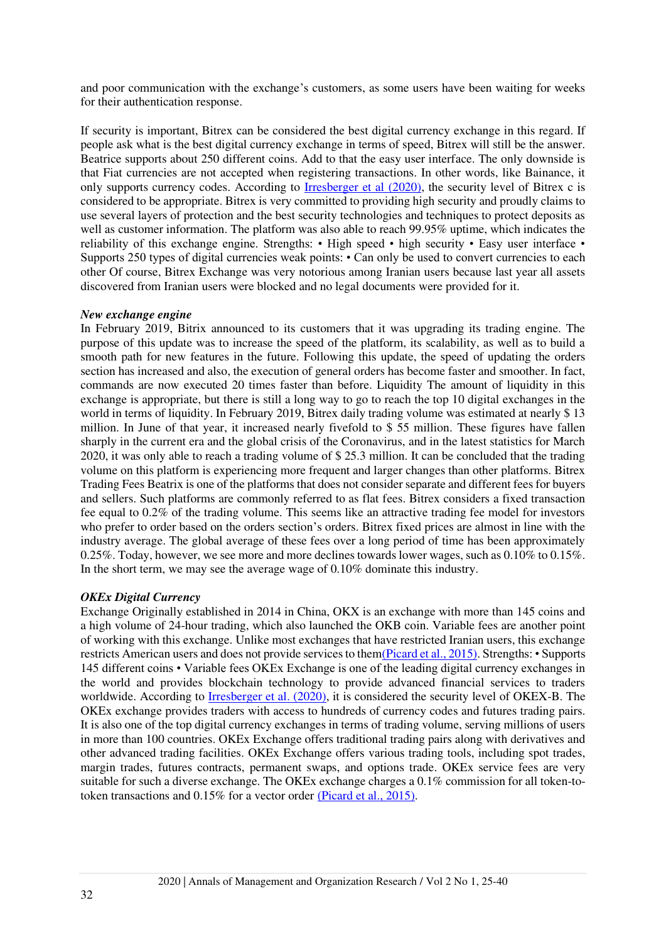and poor communication with the exchange's customers, as some users have been waiting for weeks for their authentication response.

If security is important, Bitrex can be considered the best digital currency exchange in this regard. If people ask what is the best digital currency exchange in terms of speed, Bitrex will still be the answer. Beatrice supports about 250 different coins. Add to that the easy user interface. The only downside is that Fiat currencies are not accepted when registering transactions. In other words, like Bainance, it only supports currency codes. According to <u>Irresberger et al (2020)</u>, the security level of Bitrex c is considered to be appropriate. Bitrex is very committed to providing high security and proudly claims to use several layers of protection and the best security technologies and techniques to protect deposits as well as customer information. The platform was also able to reach 99.95% uptime, which indicates the reliability of this exchange engine. Strengths: • High speed • high security • Easy user interface • Supports 250 types of digital currencies weak points: • Can only be used to convert currencies to each other Of course, Bitrex Exchange was very notorious among Iranian users because last year all assets discovered from Iranian users were blocked and no legal documents were provided for it.

#### *New exchange engine*

In February 2019, Bitrix announced to its customers that it was upgrading its trading engine. The purpose of this update was to increase the speed of the platform, its scalability, as well as to build a smooth path for new features in the future. Following this update, the speed of updating the orders section has increased and also, the execution of general orders has become faster and smoother. In fact, commands are now executed 20 times faster than before. Liquidity The amount of liquidity in this exchange is appropriate, but there is still a long way to go to reach the top 10 digital exchanges in the world in terms of liquidity. In February 2019, Bitrex daily trading volume was estimated at nearly \$ 13 million. In June of that year, it increased nearly fivefold to \$ 55 million. These figures have fallen sharply in the current era and the global crisis of the Coronavirus, and in the latest statistics for March 2020, it was only able to reach a trading volume of \$ 25.3 million. It can be concluded that the trading volume on this platform is experiencing more frequent and larger changes than other platforms. Bitrex Trading Fees Beatrix is one of the platforms that does not consider separate and different fees for buyers and sellers. Such platforms are commonly referred to as flat fees. Bitrex considers a fixed transaction fee equal to 0.2% of the trading volume. This seems like an attractive trading fee model for investors who prefer to order based on the orders section's orders. Bitrex fixed prices are almost in line with the industry average. The global average of these fees over a long period of time has been approximately 0.25%. Today, however, we see more and more declines towards lower wages, such as 0.10% to 0.15%. In the short term, we may see the average wage of 0.10% dominate this industry.

#### *OKEx Digital Currency*

Exchange Originally established in 2014 in China, OKX is an exchange with more than 145 coins and a high volume of 24-hour trading, which also launched the OKB coin. Variable fees are another point of working with this exchange. Unlike most exchanges that have restricted Iranian users, this exchange restricts American users and does not provide services to the[m\(Picard et al., 2015\)](#page-15-6). Strengths: • Supports 145 different coins • Variable fees OKEx Exchange is one of the leading digital currency exchanges in the world and provides blockchain technology to provide advanced financial services to traders worldwide. According to [Irresberger et al. \(2020\),](#page-14-12) it is considered the security level of OKEX-B. The OKEx exchange provides traders with access to hundreds of currency codes and futures trading pairs. It is also one of the top digital currency exchanges in terms of trading volume, serving millions of users in more than 100 countries. OKEx Exchange offers traditional trading pairs along with derivatives and other advanced trading facilities. OKEx Exchange offers various trading tools, including spot trades, margin trades, futures contracts, permanent swaps, and options trade. OKEx service fees are very suitable for such a diverse exchange. The OKEx exchange charges a 0.1% commission for all token-totoken transactions and 0.15% for a vector order [\(Picard et al., 2015\).](#page-15-6)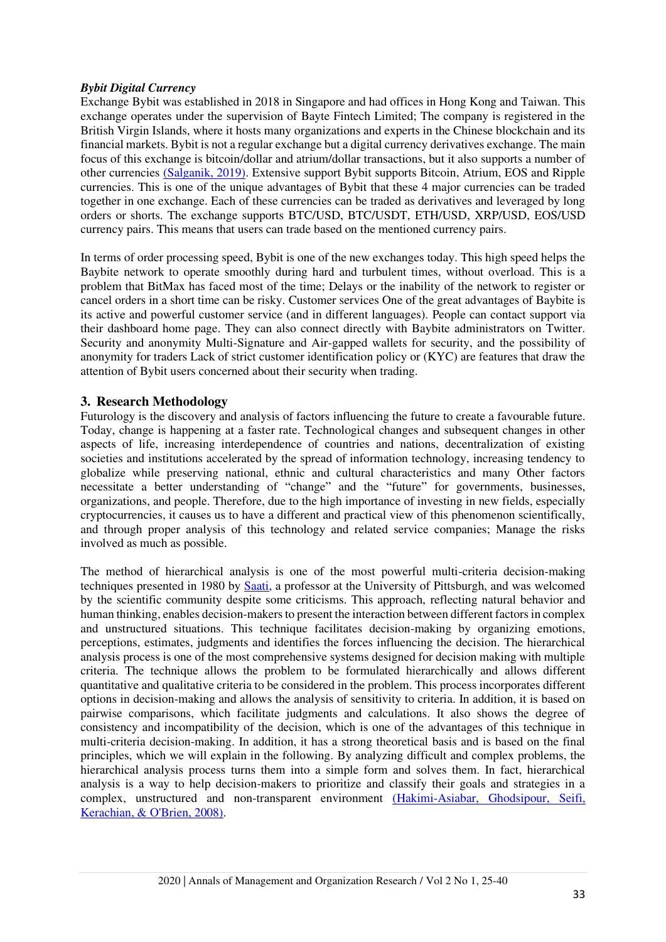## *Bybit Digital Currency*

Exchange Bybit was established in 2018 in Singapore and had offices in Hong Kong and Taiwan. This exchange operates under the supervision of Bayte Fintech Limited; The company is registered in the British Virgin Islands, where it hosts many organizations and experts in the Chinese blockchain and its financial markets. Bybit is not a regular exchange but a digital currency derivatives exchange. The main focus of this exchange is bitcoin/dollar and atrium/dollar transactions, but it also supports a number of other currencies [\(Salganik, 2019\).](#page-15-7) Extensive support Bybit supports Bitcoin, Atrium, EOS and Ripple currencies. This is one of the unique advantages of Bybit that these 4 major currencies can be traded together in one exchange. Each of these currencies can be traded as derivatives and leveraged by long orders or shorts. The exchange supports BTC/USD, BTC/USDT, ETH/USD, XRP/USD, EOS/USD currency pairs. This means that users can trade based on the mentioned currency pairs.

In terms of order processing speed, Bybit is one of the new exchanges today. This high speed helps the Baybite network to operate smoothly during hard and turbulent times, without overload. This is a problem that BitMax has faced most of the time; Delays or the inability of the network to register or cancel orders in a short time can be risky. Customer services One of the great advantages of Baybite is its active and powerful customer service (and in different languages). People can contact support via their dashboard home page. They can also connect directly with Baybite administrators on Twitter. Security and anonymity Multi-Signature and Air-gapped wallets for security, and the possibility of anonymity for traders Lack of strict customer identification policy or (KYC) are features that draw the attention of Bybit users concerned about their security when trading.

# **3. Research Methodology**

Futurology is the discovery and analysis of factors influencing the future to create a favourable future. Today, change is happening at a faster rate. Technological changes and subsequent changes in other aspects of life, increasing interdependence of countries and nations, decentralization of existing societies and institutions accelerated by the spread of information technology, increasing tendency to globalize while preserving national, ethnic and cultural characteristics and many Other factors necessitate a better understanding of "change" and the "future" for governments, businesses, organizations, and people. Therefore, due to the high importance of investing in new fields, especially cryptocurrencies, it causes us to have a different and practical view of this phenomenon scientifically, and through proper analysis of this technology and related service companies; Manage the risks involved as much as possible.

The method of hierarchical analysis is one of the most powerful multi-criteria decision-making techniques presented in 1980 by [Saati,](#page-15-8) a professor at the University of Pittsburgh, and was welcomed by the scientific community despite some criticisms. This approach, reflecting natural behavior and human thinking, enables decision-makers to present the interaction between different factors in complex and unstructured situations. This technique facilitates decision-making by organizing emotions, perceptions, estimates, judgments and identifies the forces influencing the decision. The hierarchical analysis process is one of the most comprehensive systems designed for decision making with multiple criteria. The technique allows the problem to be formulated hierarchically and allows different quantitative and qualitative criteria to be considered in the problem. This process incorporates different options in decision-making and allows the analysis of sensitivity to criteria. In addition, it is based on pairwise comparisons, which facilitate judgments and calculations. It also shows the degree of consistency and incompatibility of the decision, which is one of the advantages of this technique in multi-criteria decision-making. In addition, it has a strong theoretical basis and is based on the final principles, which we will explain in the following. By analyzing difficult and complex problems, the hierarchical analysis process turns them into a simple form and solves them. In fact, hierarchical analysis is a way to help decision-makers to prioritize and classify their goals and strategies in a complex, unstructured and non-transparent environment [\(Hakimi-Asiabar, Ghodsipour, Seifi,](#page-14-13)  Kerachian, & O'Brien, 2008).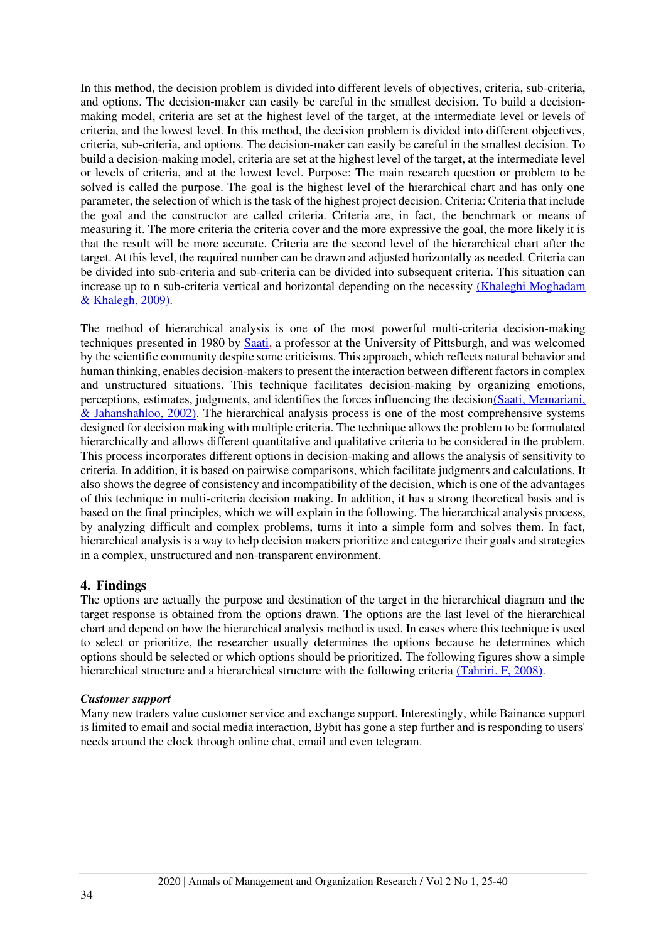In this method, the decision problem is divided into different levels of objectives, criteria, sub-criteria, and options. The decision-maker can easily be careful in the smallest decision. To build a decisionmaking model, criteria are set at the highest level of the target, at the intermediate level or levels of criteria, and the lowest level. In this method, the decision problem is divided into different objectives, criteria, sub-criteria, and options. The decision-maker can easily be careful in the smallest decision. To build a decision-making model, criteria are set at the highest level of the target, at the intermediate level or levels of criteria, and at the lowest level. Purpose: The main research question or problem to be solved is called the purpose. The goal is the highest level of the hierarchical chart and has only one parameter, the selection of which is the task of the highest project decision. Criteria: Criteria that include the goal and the constructor are called criteria. Criteria are, in fact, the benchmark or means of measuring it. The more criteria the criteria cover and the more expressive the goal, the more likely it is that the result will be more accurate. Criteria are the second level of the hierarchical chart after the target. At this level, the required number can be drawn and adjusted horizontally as needed. Criteria can be divided into sub-criteria and sub-criteria can be divided into subsequent criteria. This situation can increase up to n sub-criteria vertical and horizontal depending on the necessity [\(Khaleghi Moghadam](#page-14-14)  & Khalegh, 2009).

The method of hierarchical analysis is one of the most powerful multi-criteria decision-making techniques presented in 1980 by [Saati,](#page-15-8) a professor at the University of Pittsburgh, and was welcomed by the scientific community despite some criticisms. This approach, which reflects natural behavior and human thinking, enables decision-makers to present the interaction between different factors in complex and unstructured situations. This technique facilitates decision-making by organizing emotions, perceptions, estimates, judgments, and identifies the forces influencing the decisio[n\(Saati, Memariani,](#page-15-8)  & Jahanshahloo, 2002). The hierarchical analysis process is one of the most comprehensive systems designed for decision making with multiple criteria. The technique allows the problem to be formulated hierarchically and allows different quantitative and qualitative criteria to be considered in the problem. This process incorporates different options in decision-making and allows the analysis of sensitivity to criteria. In addition, it is based on pairwise comparisons, which facilitate judgments and calculations. It also shows the degree of consistency and incompatibility of the decision, which is one of the advantages of this technique in multi-criteria decision making. In addition, it has a strong theoretical basis and is based on the final principles, which we will explain in the following. The hierarchical analysis process, by analyzing difficult and complex problems, turns it into a simple form and solves them. In fact, hierarchical analysis is a way to help decision makers prioritize and categorize their goals and strategies in a complex, unstructured and non-transparent environment.

#### **4. Findings**

The options are actually the purpose and destination of the target in the hierarchical diagram and the target response is obtained from the options drawn. The options are the last level of the hierarchical chart and depend on how the hierarchical analysis method is used. In cases where this technique is used to select or prioritize, the researcher usually determines the options because he determines which options should be selected or which options should be prioritized. The following figures show a simple hierarchical structure and a hierarchical structure with the following criteria [\(Tahriri. F, 2008\).](#page-15-9)

#### *Customer support*

Many new traders value customer service and exchange support. Interestingly, while Bainance support is limited to email and social media interaction, Bybit has gone a step further and is responding to users' needs around the clock through online chat, email and even telegram.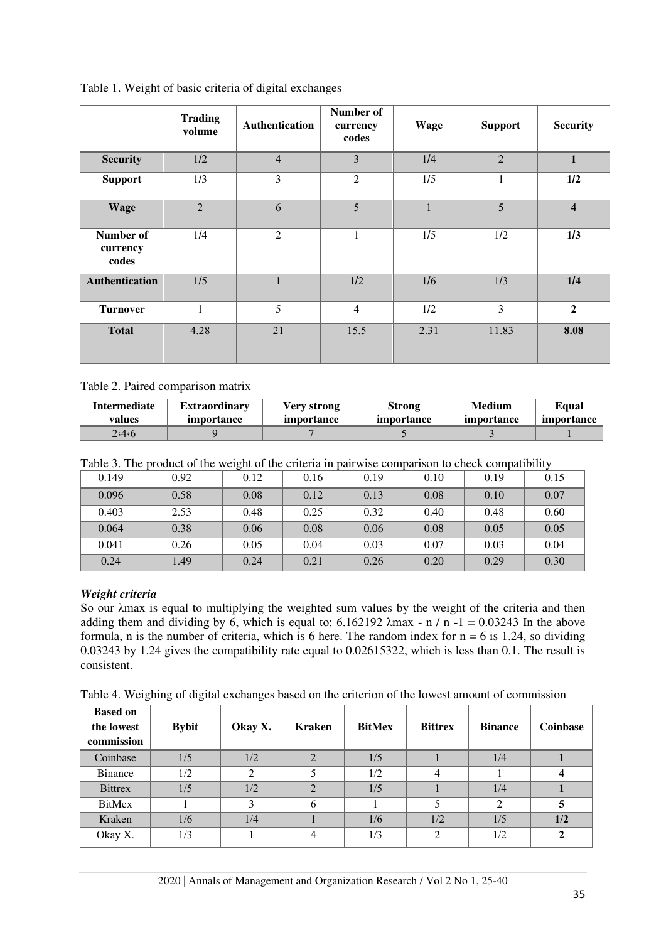|                                | <b>Trading</b><br>volume | Authentication | Number of<br>currency<br>codes | <b>Wage</b> | <b>Support</b> | <b>Security</b>         |
|--------------------------------|--------------------------|----------------|--------------------------------|-------------|----------------|-------------------------|
| <b>Security</b>                | 1/2                      | $\overline{4}$ | $\overline{3}$                 | 1/4         | $\overline{2}$ | $\mathbf{1}$            |
| <b>Support</b>                 | 1/3                      | $\overline{3}$ | 2                              | 1/5         | 1              | 1/2                     |
| <b>Wage</b>                    | $\overline{2}$           | 6              | 5                              | н.          | 5              | $\overline{\mathbf{4}}$ |
| Number of<br>currency<br>codes | 1/4                      | $\overline{2}$ | 1                              | 1/5         | 1/2            | 1/3                     |
| <b>Authentication</b>          | 1/5                      | $\mathbf{1}$   | 1/2                            | 1/6         | 1/3            | 1/4                     |
| <b>Turnover</b>                | $\mathbf{1}$             | 5              | $\overline{4}$                 | 1/2         | $\overline{3}$ | $\overline{2}$          |
| <b>Total</b>                   | 4.28                     | 21             | 15.5                           | 2.31        | 11.83          | 8.08                    |

Table 1. Weight of basic criteria of digital exchanges

## Table 2. Paired comparison matrix

| <b>Intermediate</b> | <b>Extraordinary</b> | Verv strong | <b>Strong</b> | Medium     | Equal      |
|---------------------|----------------------|-------------|---------------|------------|------------|
| values              | <i>importance</i>    | importance  | importance    | importance | importance |
| 2.4.6               |                      |             |               |            |            |

Table 3. The product of the weight of the criteria in pairwise comparison to check compatibility

| 0.149 | 0.92 | 0.12 | 0.16 | 0.19 | 0.10 | 0.19 | 0.15 |
|-------|------|------|------|------|------|------|------|
| 0.096 | 0.58 | 0.08 | 0.12 | 0.13 | 0.08 | 0.10 | 0.07 |
| 0.403 | 2.53 | 0.48 | 0.25 | 0.32 | 0.40 | 0.48 | 0.60 |
| 0.064 | 0.38 | 0.06 | 0.08 | 0.06 | 0.08 | 0.05 | 0.05 |
| 0.041 | 0.26 | 0.05 | 0.04 | 0.03 | 0.07 | 0.03 | 0.04 |
| 0.24  | 1.49 | 0.24 | 0.21 | 0.26 | 0.20 | 0.29 | 0.30 |

## *Weight criteria*

So our λmax is equal to multiplying the weighted sum values by the weight of the criteria and then adding them and dividing by 6, which is equal to:  $6.162192 \lambda max - n/n -1 = 0.03243$  In the above formula, n is the number of criteria, which is 6 here. The random index for  $n = 6$  is 1.24, so dividing 0.03243 by 1.24 gives the compatibility rate equal to 0.02615322, which is less than 0.1. The result is consistent.

Table 4. Weighing of digital exchanges based on the criterion of the lowest amount of commission

| <b>Based on</b><br>the lowest<br>commission | <b>Bybit</b> | Okay X. | <b>Kraken</b> | <b>BitMex</b> | <b>Bittrex</b> | <b>Binance</b> | Coinbase |
|---------------------------------------------|--------------|---------|---------------|---------------|----------------|----------------|----------|
| Coinbase                                    | 1/5          | 1/2     |               | 1/5           |                | 1/4            |          |
| <b>Binance</b>                              | 1/2          |         |               | 1/2           | 4              |                |          |
| <b>Bittrex</b>                              | 1/5          | 1/2     | C             | 1/5           |                | 1/4            |          |
| <b>BitMex</b>                               |              |         | 6             |               |                | ◠              |          |
| Kraken                                      | 1/6          | 1/4     |               | 1/6           | 1/2            | 1/5            | 1/2      |
| Okay X.                                     | 1/3          |         | 4             | 1/3           | 2              | 1/2            | າ        |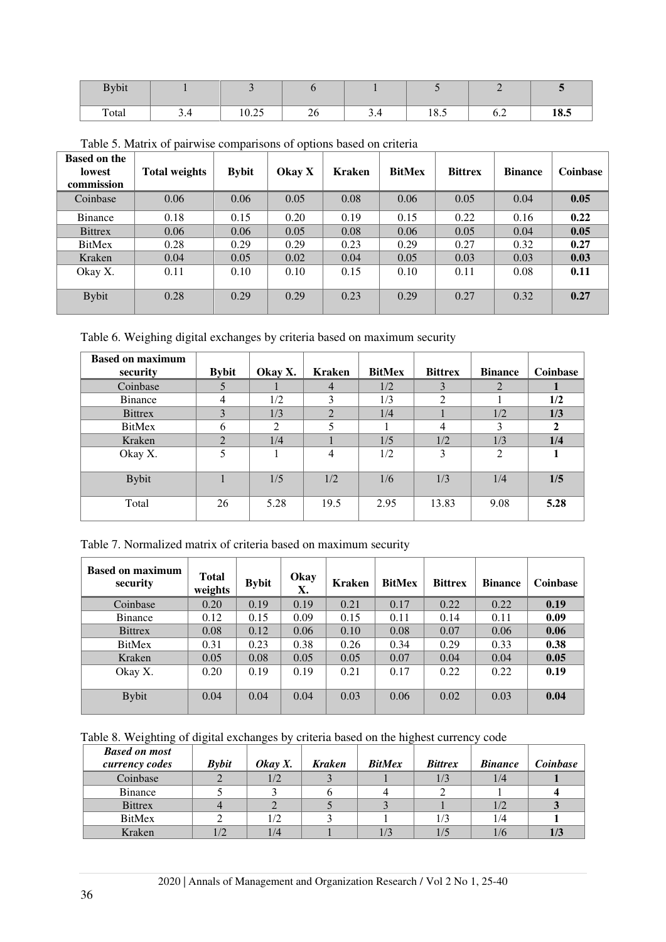| <b>Bybit</b> |     |       |              |     |      |     |      |
|--------------|-----|-------|--------------|-----|------|-----|------|
| Total        | ◡・⊤ | 10.25 | $\sim$<br>20 | ◡.- | 18.5 | 0.2 | 18.5 |

Table 5. Matrix of pairwise comparisons of options based on criteria

| <b>Based on the</b><br><b>lowest</b><br>commission | <b>Total weights</b> | <b>Bybit</b> | Okay X | Kraken | <b>BitMex</b> | <b>Bittrex</b> | <b>Binance</b> | Coinbase |
|----------------------------------------------------|----------------------|--------------|--------|--------|---------------|----------------|----------------|----------|
| Coinbase                                           | 0.06                 | 0.06         | 0.05   | 0.08   | 0.06          | 0.05           | 0.04           | 0.05     |
| <b>Binance</b>                                     | 0.18                 | 0.15         | 0.20   | 0.19   | 0.15          | 0.22           | 0.16           | 0.22     |
| <b>Bittrex</b>                                     | 0.06                 | 0.06         | 0.05   | 0.08   | 0.06          | 0.05           | 0.04           | 0.05     |
| <b>BitMex</b>                                      | 0.28                 | 0.29         | 0.29   | 0.23   | 0.29          | 0.27           | 0.32           | 0.27     |
| Kraken                                             | 0.04                 | 0.05         | 0.02   | 0.04   | 0.05          | 0.03           | 0.03           | 0.03     |
| Okay X.                                            | 0.11                 | 0.10         | 0.10   | 0.15   | 0.10          | 0.11           | 0.08           | 0.11     |
| <b>Bybit</b>                                       | 0.28                 | 0.29         | 0.29   | 0.23   | 0.29          | 0.27           | 0.32           | 0.27     |

Table 6. Weighing digital exchanges by criteria based on maximum security

| <b>Based on maximum</b><br>security | <b>Bybit</b> | Okay X. | <b>Kraken</b> | <b>BitMex</b> | <b>Bittrex</b> | <b>Binance</b> | <b>Coinbase</b> |
|-------------------------------------|--------------|---------|---------------|---------------|----------------|----------------|-----------------|
| Coinbase                            |              |         | 4             | 1/2           |                | 2              |                 |
| <b>Binance</b>                      | 4            | 1/2     | 3             | 1/3           |                |                | 1/2             |
| <b>Bittrex</b>                      | 3            | 1/3     | ◠             | 1/4           |                | 1/2            | 1/3             |
| BitMex                              | <sub>0</sub> | 2       |               |               | 4              | 3              | $\overline{2}$  |
| Kraken                              | $\bigcap$    | 1/4     |               | 1/5           | 1/2            | 1/3            | 1/4             |
| Okay X.                             | 5            |         | 4             | 1/2           | 3              | $\overline{2}$ |                 |
| <b>Bybit</b>                        |              | 1/5     | 1/2           | 1/6           | 1/3            | 1/4            | 1/5             |
| Total                               | 26           | 5.28    | 19.5          | 2.95          | 13.83          | 9.08           | 5.28            |

| Table 7. Normalized matrix of criteria based on maximum security |
|------------------------------------------------------------------|
|------------------------------------------------------------------|

| <b>Based on maximum</b><br>security | <b>Total</b><br>weights | <b>Bybit</b> | Okay<br>Х. | <b>Kraken</b> | <b>BitMex</b> | <b>Bittrex</b> | <b>Binance</b> | <b>Coinbase</b> |
|-------------------------------------|-------------------------|--------------|------------|---------------|---------------|----------------|----------------|-----------------|
| Coinbase                            | 0.20                    | 0.19         | 0.19       | 0.21          | 0.17          | 0.22           | 0.22           | 0.19            |
| <b>Binance</b>                      | 0.12                    | 0.15         | 0.09       | 0.15          | 0.11          | 0.14           | 0.11           | 0.09            |
| <b>Bittrex</b>                      | 0.08                    | 0.12         | 0.06       | 0.10          | 0.08          | 0.07           | 0.06           | 0.06            |
| <b>BitMex</b>                       | 0.31                    | 0.23         | 0.38       | 0.26          | 0.34          | 0.29           | 0.33           | 0.38            |
| Kraken                              | 0.05                    | 0.08         | 0.05       | 0.05          | 0.07          | 0.04           | 0.04           | 0.05            |
| Okay X.                             | 0.20                    | 0.19         | 0.19       | 0.21          | 0.17          | 0.22           | 0.22           | 0.19            |
| <b>Bybit</b>                        | 0.04                    | 0.04         | 0.04       | 0.03          | 0.06          | 0.02           | 0.03           | 0.04            |

Table 8. Weighting of digital exchanges by criteria based on the highest currency code

| <b>Based on most</b> |              |            |               |               |                |                |          |
|----------------------|--------------|------------|---------------|---------------|----------------|----------------|----------|
| currency codes       | <b>Bybit</b> | $Okay X$ . | <b>Kraken</b> | <b>BitMex</b> | <b>Bittrex</b> | <b>Binance</b> | Coinbase |
| Coinbase             |              | 1/2        |               |               | 1/3            | 1/4            |          |
| <b>Binance</b>       |              |            |               |               |                |                |          |
| <b>Bittrex</b>       |              |            |               |               |                | 1/2            |          |
| <b>BitMex</b>        |              |            |               |               | 1/3            | 1/4            |          |
| Kraken               |              | 1/4        |               |               |                | 1/6            |          |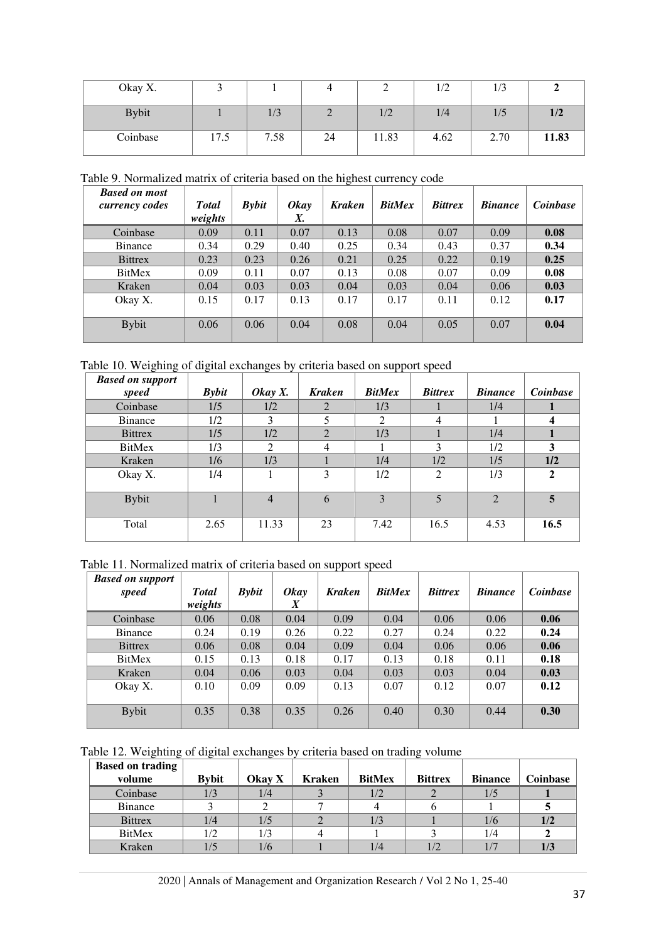| Okay X.      |      |            |    |       | ⊥≀∠  | 1/3  |       |
|--------------|------|------------|----|-------|------|------|-------|
| <b>Bybit</b> |      | 1/2<br>1/3 |    | 1/2   | 1/4  | 1/5  | 1/2   |
| Coinbase     | 17.5 | 7.58       | 24 | 11.83 | 4.62 | 2.70 | 11.83 |

Table 9. Normalized matrix of criteria based on the highest currency code

| <b>Based on most</b><br>currency codes | <b>Total</b><br>weights | <b>Bybit</b> | <b>Okay</b><br>Х. | <b>Kraken</b> | <b>BitMex</b> | <b>Bittrex</b> | <b>Binance</b> | Coinbase |
|----------------------------------------|-------------------------|--------------|-------------------|---------------|---------------|----------------|----------------|----------|
| Coinbase                               | 0.09                    | 0.11         | 0.07              | 0.13          | 0.08          | 0.07           | 0.09           | 0.08     |
| <b>Binance</b>                         | 0.34                    | 0.29         | 0.40              | 0.25          | 0.34          | 0.43           | 0.37           | 0.34     |
| <b>Bittrex</b>                         | 0.23                    | 0.23         | 0.26              | 0.21          | 0.25          | 0.22           | 0.19           | 0.25     |
| <b>BitMex</b>                          | 0.09                    | 0.11         | 0.07              | 0.13          | 0.08          | 0.07           | 0.09           | 0.08     |
| Kraken                                 | 0.04                    | 0.03         | 0.03              | 0.04          | 0.03          | 0.04           | 0.06           | 0.03     |
| Okay X.                                | 0.15                    | 0.17         | 0.13              | 0.17          | 0.17          | 0.11           | 0.12           | 0.17     |
| <b>Bybit</b>                           | 0.06                    | 0.06         | 0.04              | 0.08          | 0.04          | 0.05           | 0.07           | 0.04     |

Table 10. Weighing of digital exchanges by criteria based on support speed

| <b>Based on support</b> |              |                |                |                |                |                |                |
|-------------------------|--------------|----------------|----------------|----------------|----------------|----------------|----------------|
| speed                   | <b>Bybit</b> | Okay $X$ .     | <b>Kraken</b>  | <b>BitMex</b>  | <b>Bittrex</b> | <b>Binance</b> | Coinbase       |
| Coinbase                | 1/5          | 1/2            | 2              | 1/3            |                | 1/4            |                |
| <b>Binance</b>          | 1/2          | 3              | 5              | $\mathfrak{D}$ | 4              |                | 4              |
| <b>Bittrex</b>          | 1/5          | 1/2            | 2              | 1/3            |                | 1/4            |                |
| <b>BitMex</b>           | 1/3          | 2              | $\overline{4}$ |                | 3              | 1/2            | 3              |
| Kraken                  | 1/6          | 1/3            |                | 1/4            | 1/2            | 1/5            | 1/2            |
| Okay X.                 | 1/4          |                | 3              | 1/2            | 2              | 1/3            | $\mathbf{2}$   |
|                         |              |                |                |                |                |                |                |
| <b>Bybit</b>            |              | $\overline{4}$ | 6              | 3              | 5              | $\overline{2}$ | $\overline{5}$ |
|                         |              |                |                |                |                |                |                |
| Total                   | 2.65         | 11.33          | 23             | 7.42           | 16.5           | 4.53           | 16.5           |
|                         |              |                |                |                |                |                |                |

Table 11. Normalized matrix of criteria based on support speed

| <b>Based on support</b><br>speed | <b>Total</b><br>weights | <b>Bybit</b> | <b>Okav</b><br>X | <b>Kraken</b> | <b>BitMex</b> | <b>Bittrex</b> | <b>Binance</b> | Coinbase |
|----------------------------------|-------------------------|--------------|------------------|---------------|---------------|----------------|----------------|----------|
| Coinbase                         | 0.06                    | 0.08         | 0.04             | 0.09          | 0.04          | 0.06           | 0.06           | 0.06     |
| <b>Binance</b>                   | 0.24                    | 0.19         | 0.26             | 0.22          | 0.27          | 0.24           | 0.22           | 0.24     |
| <b>Bittrex</b>                   | 0.06                    | 0.08         | 0.04             | 0.09          | 0.04          | 0.06           | 0.06           | 0.06     |
| <b>BitMex</b>                    | 0.15                    | 0.13         | 0.18             | 0.17          | 0.13          | 0.18           | 0.11           | 0.18     |
| Kraken                           | 0.04                    | 0.06         | 0.03             | 0.04          | 0.03          | 0.03           | 0.04           | 0.03     |
| Okay X.                          | 0.10                    | 0.09         | 0.09             | 0.13          | 0.07          | 0.12           | 0.07           | 0.12     |
| <b>Bybit</b>                     | 0.35                    | 0.38         | 0.35             | 0.26          | 0.40          | 0.30           | 0.44           | 0.30     |

Table 12. Weighting of digital exchanges by criteria based on trading volume

| <b>Based on trading</b> |              |        |        |               |                |                |          |
|-------------------------|--------------|--------|--------|---------------|----------------|----------------|----------|
| volume                  | <b>Bybit</b> | Okay X | Kraken | <b>BitMex</b> | <b>Bittrex</b> | <b>Binance</b> | Coinbase |
| Coinbase                | 1/3          | 1/4    |        | 1/2           |                | 1/5            |          |
| <b>Binance</b>          |              |        |        |               |                |                |          |
| <b>Bittrex</b>          | 1/4          |        |        | 1/3           |                | 1/6            | 1/2      |
| <b>BitMex</b>           | 1/2          |        |        |               |                | 1/4            |          |
| Kraken                  |              | 1/6    |        | 1/4           |                | 1/7            | 1/3      |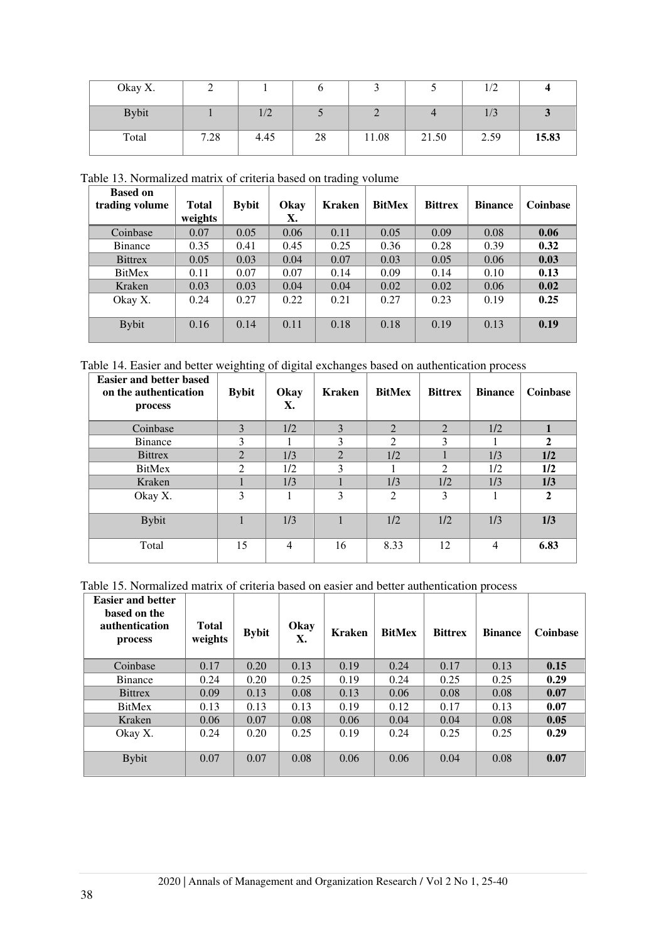| Okay X.      |      |                   |    |       |       | 1/L  |       |
|--------------|------|-------------------|----|-------|-------|------|-------|
| <b>Bybit</b> |      | $\sqrt{2}$<br>1/L |    |       |       | 1/3  |       |
| Total        | 7.28 | 4.45              | 28 | 11.08 | 21.50 | 2.59 | 15.83 |

Table 13. Normalized matrix of criteria based on trading volume

| <b>Based on</b><br>trading volume | <b>Total</b><br>weights | <b>Bybit</b> | Okay<br>Х. | Kraken | <b>BitMex</b> | <b>Bittrex</b> | <b>Binance</b> | <b>Coinbase</b> |
|-----------------------------------|-------------------------|--------------|------------|--------|---------------|----------------|----------------|-----------------|
| Coinbase                          | 0.07                    | 0.05         | 0.06       | 0.11   | 0.05          | 0.09           | 0.08           | 0.06            |
| Binance                           | 0.35                    | 0.41         | 0.45       | 0.25   | 0.36          | 0.28           | 0.39           | 0.32            |
| <b>Bittrex</b>                    | 0.05                    | 0.03         | 0.04       | 0.07   | 0.03          | 0.05           | 0.06           | 0.03            |
| BitMex                            | 0.11                    | 0.07         | 0.07       | 0.14   | 0.09          | 0.14           | 0.10           | 0.13            |
| Kraken                            | 0.03                    | 0.03         | 0.04       | 0.04   | 0.02          | 0.02           | 0.06           | 0.02            |
| Okay X.                           | 0.24                    | 0.27         | 0.22       | 0.21   | 0.27          | 0.23           | 0.19           | 0.25            |
| <b>Bybit</b>                      | 0.16                    | 0.14         | 0.11       | 0.18   | 0.18          | 0.19           | 0.13           | 0.19            |

Table 14. Easier and better weighting of digital exchanges based on authentication process

| <b>Easier and better based</b><br>on the authentication<br>process | <b>Bybit</b>   | Okay<br>Х. | <b>Kraken</b> | <b>BitMex</b>  | <b>Bittrex</b> | <b>Binance</b> | <b>Coinbase</b> |
|--------------------------------------------------------------------|----------------|------------|---------------|----------------|----------------|----------------|-----------------|
| Coinbase                                                           | 3              | 1/2        | 3             | 2              | 2              | 1/2            |                 |
| <b>Binance</b>                                                     | 3              |            | 3             | $\mathfrak{D}$ | 3              |                | $\overline{2}$  |
| <b>Bittrex</b>                                                     | $\overline{2}$ | 1/3        | 2             | 1/2            |                | 1/3            | 1/2             |
| <b>BitMex</b>                                                      | 2              | 1/2        | 3             |                | 2              | 1/2            | 1/2             |
| Kraken                                                             |                | 1/3        |               | 1/3            | 1/2            | 1/3            | 1/3             |
| Okay X.                                                            | 3              |            | 3             | $\mathfrak{D}$ | 3              |                | $\mathbf{2}$    |
| <b>Bybit</b>                                                       |                | 1/3        |               | 1/2            | 1/2            | 1/3            | 1/3             |
| Total                                                              | 15             | 4          | 16            | 8.33           | 12             | $\overline{4}$ | 6.83            |

Table 15. Normalized matrix of criteria based on easier and better authentication process

| <b>Easier and better</b><br>based on the<br><b>authentication</b><br>process | <b>Total</b><br>weights | <b>Bybit</b> | Okay<br>Х. | <b>Kraken</b> | <b>BitMex</b> | <b>Bittrex</b> | <b>Binance</b> | <b>Coinbase</b> |
|------------------------------------------------------------------------------|-------------------------|--------------|------------|---------------|---------------|----------------|----------------|-----------------|
| Coinbase                                                                     | 0.17                    | 0.20         | 0.13       | 0.19          | 0.24          | 0.17           | 0.13           | 0.15            |
| Binance                                                                      | 0.24                    | 0.20         | 0.25       | 0.19          | 0.24          | 0.25           | 0.25           | 0.29            |
| <b>Bittrex</b>                                                               | 0.09                    | 0.13         | 0.08       | 0.13          | 0.06          | 0.08           | 0.08           | 0.07            |
| <b>BitMex</b>                                                                | 0.13                    | 0.13         | 0.13       | 0.19          | 0.12          | 0.17           | 0.13           | 0.07            |
| Kraken                                                                       | 0.06                    | 0.07         | 0.08       | 0.06          | 0.04          | 0.04           | 0.08           | 0.05            |
| Okay X.                                                                      | 0.24                    | 0.20         | 0.25       | 0.19          | 0.24          | 0.25           | 0.25           | 0.29            |
| <b>Bybit</b>                                                                 | 0.07                    | 0.07         | 0.08       | 0.06          | 0.06          | 0.04           | 0.08           | 0.07            |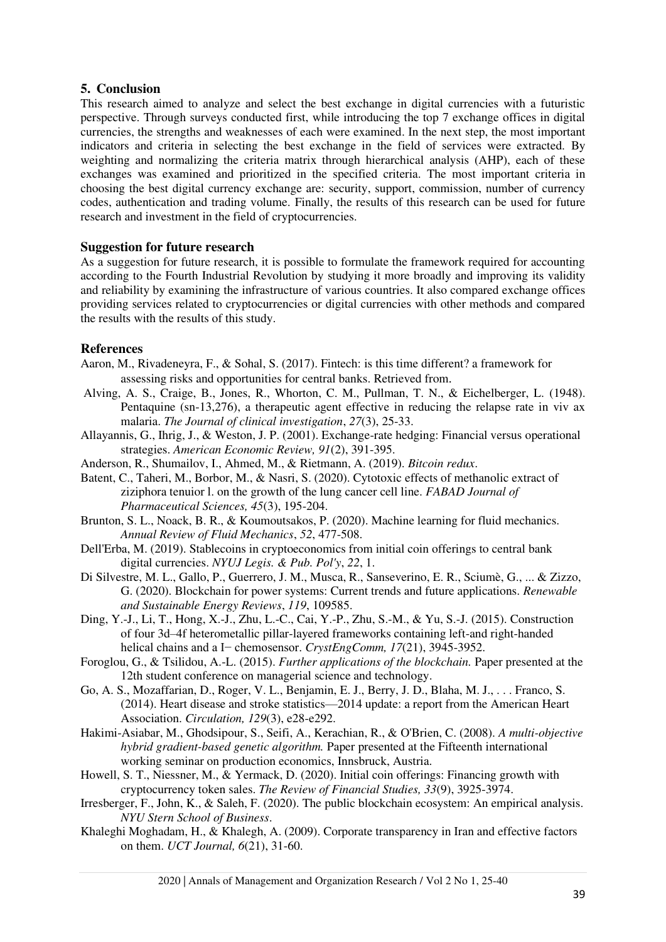## **5. Conclusion**

This research aimed to analyze and select the best exchange in digital currencies with a futuristic perspective. Through surveys conducted first, while introducing the top 7 exchange offices in digital currencies, the strengths and weaknesses of each were examined. In the next step, the most important indicators and criteria in selecting the best exchange in the field of services were extracted. By weighting and normalizing the criteria matrix through hierarchical analysis (AHP), each of these exchanges was examined and prioritized in the specified criteria. The most important criteria in choosing the best digital currency exchange are: security, support, commission, number of currency codes, authentication and trading volume. Finally, the results of this research can be used for future research and investment in the field of cryptocurrencies.

## **Suggestion for future research**

As a suggestion for future research, it is possible to formulate the framework required for accounting according to the Fourth Industrial Revolution by studying it more broadly and improving its validity and reliability by examining the infrastructure of various countries. It also compared exchange offices providing services related to cryptocurrencies or digital currencies with other methods and compared the results with the results of this study.

# **References**

- <span id="page-14-4"></span>Aaron, M., Rivadeneyra, F., & Sohal, S. (2017). Fintech: is this time different? a framework for assessing risks and opportunities for central banks. Retrieved from .
- <span id="page-14-9"></span> Alving, A. S., Craige, B., Jones, R., Whorton, C. M., Pullman, T. N., & Eichelberger, L. (1948). Pentaquine (sn-13,276), a therapeutic agent effective in reducing the relapse rate in viv ax malaria. *The Journal of clinical investigation*, *27*(3), 25-33.
- <span id="page-14-11"></span>Allayannis, G., Ihrig, J., & Weston, J. P. (2001). Exchange-rate hedging: Financial versus operational strategies. *American Economic Review, 91*(2), 391-395.
- <span id="page-14-1"></span>Anderson, R., Shumailov, I., Ahmed, M., & Rietmann, A. (2019). *Bitcoin redux*.
- <span id="page-14-7"></span>Batent, C., Taheri, M., Borbor, M., & Nasri, S. (2020). Cytotoxic effects of methanolic extract of ziziphora tenuior l. on the growth of the lung cancer cell line. *FABAD Journal of Pharmaceutical Sciences, 45*(3), 195-204.
- <span id="page-14-2"></span>Brunton, S. L., Noack, B. R., & Koumoutsakos, P. (2020). Machine learning for fluid mechanics. *Annual Review of Fluid Mechanics*, *52*, 477-508.
- <span id="page-14-6"></span>Dell'Erba, M. (2019). Stablecoins in cryptoeconomics from initial coin offerings to central bank digital currencies. *NYUJ Legis. & Pub. Pol'y*, *22*, 1.
- <span id="page-14-3"></span>Di Silvestre, M. L., Gallo, P., Guerrero, J. M., Musca, R., Sanseverino, E. R., Sciumè, G., ... & Zizzo, G. (2020). Blockchain for power systems: Current trends and future applications. *Renewable and Sustainable Energy Reviews*, *119*, 109585.
- <span id="page-14-8"></span>Ding, Y.-J., Li, T., Hong, X.-J., Zhu, L.-C., Cai, Y.-P., Zhu, S.-M., & Yu, S.-J. (2015). Construction of four 3d–4f heterometallic pillar-layered frameworks containing left-and right-handed helical chains and a I− chemosensor. *CrystEngComm, 17*(21), 3945-3952.
- <span id="page-14-0"></span>Foroglou, G., & Tsilidou, A.-L. (2015). *Further applications of the blockchain.* Paper presented at the 12th student conference on managerial science and technology.
- <span id="page-14-10"></span>Go, A. S., Mozaffarian, D., Roger, V. L., Benjamin, E. J., Berry, J. D., Blaha, M. J., . . . Franco, S. (2014). Heart disease and stroke statistics—2014 update: a report from the American Heart Association. *Circulation, 129*(3), e28-e292.
- <span id="page-14-13"></span>Hakimi-Asiabar, M., Ghodsipour, S., Seifi, A., Kerachian, R., & O'Brien, C. (2008). *A multi-objective hybrid gradient-based genetic algorithm.* Paper presented at the Fifteenth international working seminar on production economics, Innsbruck, Austria.
- <span id="page-14-5"></span>Howell, S. T., Niessner, M., & Yermack, D. (2020). Initial coin offerings: Financing growth with cryptocurrency token sales. *The Review of Financial Studies, 33*(9), 3925-3974.
- <span id="page-14-12"></span>Irresberger, F., John, K., & Saleh, F. (2020). The public blockchain ecosystem: An empirical analysis. *NYU Stern School of Business*.
- <span id="page-14-14"></span>Khaleghi Moghadam, H., & Khalegh, A. (2009). Corporate transparency in Iran and effective factors on them. *UCT Journal, 6*(21), 31-60.